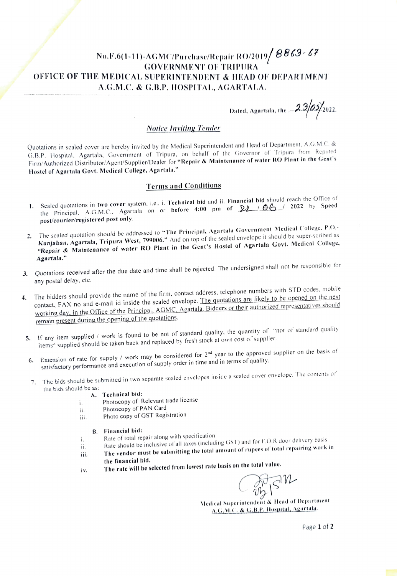# No.F.6(1-11)-AGMC/Purchase/Repair RO/2019/  $8863$  - 67  $\,$ GOVERNMENT OF TRIPURA OFFICE OF THE MEDICAL. SUPERINTENDENT & IEAD OF DEPARTMENT A.G.M.C. & G.B.P. HOSPITAL, AGARTALA.

Dated, Agartala, the  $2.3/0.5/2022$ .

## Notice Inviting Tende

Quotations in sealed cover are hereby invited by the Medical Superintendent and Head of Department, A.G.M.C. & G.B.P. lospital, Agartala, Government of Tripura. on behalf of the Governor of Tripura from Reputed Firm/Authorized Distributor/Agent/Supplier/Dealer for "Repair & Maintenance of water RO Plant in the Gent's Hostel of Agartala Govt. Medical College, Agartala"

## Terms and Conditions

- 1. Sealed quotations in two cover system, i.e., i. Technical bid and ii. Financial bid should reach the Office of the Principal, A.G.M.C., Agartala on or before 4:00 pm of  $22/06$  / 2022 by Speed post/courier/registered post only.
- 2. The sealed quotation should be addressed to "The Principal, Agartala Government Medical College, P.O.-Kunjaban, Agartala, Tripura West, 799006." And on top of the sealed envelope it should be super-scribed as "Repair & Maintenance of water RO Plant in the Gent's Hostel of Agartala Govt. Medical College, Agartala.""
- 3. Quotations received after the due date and time shall be rejected. The undersigned shall not be responsible for any postal delay. etc.
- 4. The bidders should provide the name of the firm, contact address, telephone numbers with STD codes, mobile<br>The quotations are likely to be opened on the next contact. FAX no and e-mail id inside the sealed envelope. The quotations are likely to be opened on the next working day, in the Office of the Principal, AGMC, Agartala. Bidders or their authorized representatives should remain present during the opening of the quotations.
- 5. If any item supplied / work is found to be not of standard quality, the quantity of "not of standard quality items" supplied should be taken back and replaced by fresh stock at own cost of'supplier.
- 6. Extension of rate for supply / work may be considered for  $2^{nd}$  year to the approved supplier on the basis of satisfactory performance and execution of supply order in time and in terms of quality.
- The bids should be submitted in two separate sealed envelopes inside a sealed cover envelope. The contents of the bids should be as
	- A. Technical bid:

i.

- Photocopy of Relevant trade license
- Photocopy of PAN Card
- ii. Photocopy of PAN Card<br>iii. Photo copy of GST Registration

### B. Financial bid:

- Rate of total repair along with specification
- Rate should be inclusive of all taxes (including GST) and for F.O.R door delivery basis. í. ii.
- The vendor must be submitting the total amount of rupees of total repairing work in iii. the financial bid.
- 

iv. The rate will be selected from lowest rate basis on the total value.<br>  $\widehat{\bigodot_{a/b}}$ 

Wedical Superintendent & Head of Depurtment A.G.M.C. & G.B.P. Hospital, Agartala.

Page 1 of 2